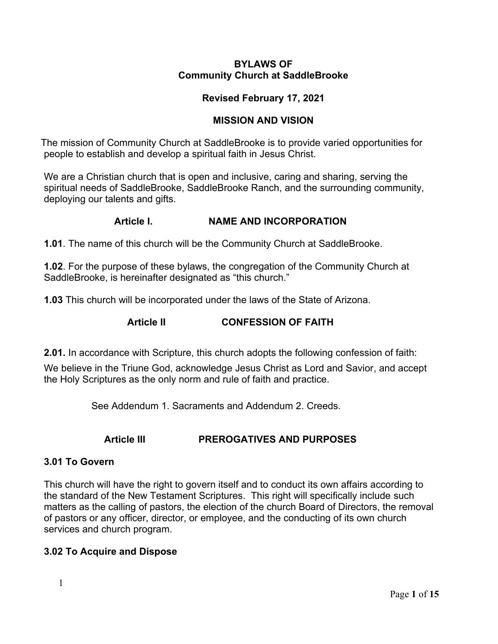#### **BYLAWS OF Community Church at SaddleBrooke**

### **Revised February 17, 2021**

### **MISSION AND VISION**

 The mission of Community Church at SaddleBrooke is to provide varied opportunities for people to establish and develop a spiritual faith in Jesus Christ.

We are a Christian church that is open and inclusive, caring and sharing, serving the spiritual needs of SaddleBrooke, SaddleBrooke Ranch, and the surrounding community, deploying our talents and gifts.

### **Article I. NAME AND INCORPORATION**

**1.01**. The name of this church will be the Community Church at SaddleBrooke.

**1.02**. For the purpose of these bylaws, the congregation of the Community Church at SaddleBrooke, is hereinafter designated as "this church."

**1.03** This church will be incorporated under the laws of the State of Arizona.

# **Article II CONFESSION OF FAITH**

**2.01.** In accordance with Scripture, this church adopts the following confession of faith:

We believe in the Triune God, acknowledge Jesus Christ as Lord and Savior, and accept the Holy Scriptures as the only norm and rule of faith and practice.

See Addendum 1. Sacraments and Addendum 2. Creeds.

# **Article III PREROGATIVES AND PURPOSES**

### **3.01 To Govern**

This church will have the right to govern itself and to conduct its own affairs according to the standard of the New Testament Scriptures. This right will specifically include such matters as the calling of pastors, the election of the church Board of Directors, the removal of pastors or any officer, director, or employee, and the conducting of its own church services and church program.

# **3.02 To Acquire and Dispose**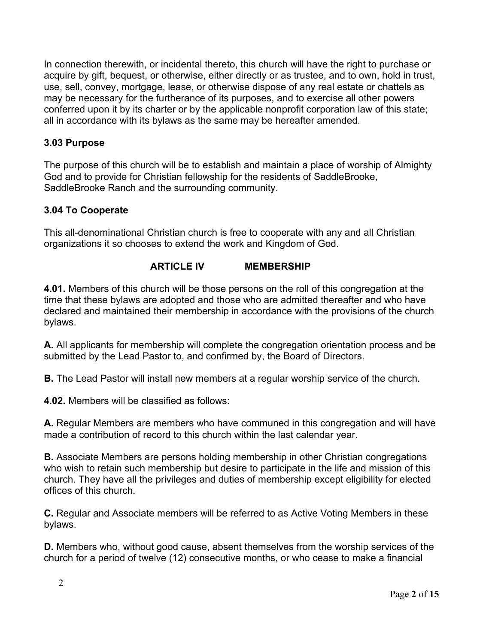In connection therewith, or incidental thereto, this church will have the right to purchase or acquire by gift, bequest, or otherwise, either directly or as trustee, and to own, hold in trust, use, sell, convey, mortgage, lease, or otherwise dispose of any real estate or chattels as may be necessary for the furtherance of its purposes, and to exercise all other powers conferred upon it by its charter or by the applicable nonprofit corporation law of this state; all in accordance with its bylaws as the same may be hereafter amended.

### **3.03 Purpose**

The purpose of this church will be to establish and maintain a place of worship of Almighty God and to provide for Christian fellowship for the residents of SaddleBrooke, SaddleBrooke Ranch and the surrounding community.

### **3.04 To Cooperate**

This all-denominational Christian church is free to cooperate with any and all Christian organizations it so chooses to extend the work and Kingdom of God.

### **ARTICLE IV MEMBERSHIP**

**4.01.** Members of this church will be those persons on the roll of this congregation at the time that these bylaws are adopted and those who are admitted thereafter and who have declared and maintained their membership in accordance with the provisions of the church bylaws.

**A.** All applicants for membership will complete the congregation orientation process and be submitted by the Lead Pastor to, and confirmed by, the Board of Directors.

**B.** The Lead Pastor will install new members at a regular worship service of the church.

**4.02.** Members will be classified as follows:

**A.** Regular Members are members who have communed in this congregation and will have made a contribution of record to this church within the last calendar year.

**B.** Associate Members are persons holding membership in other Christian congregations who wish to retain such membership but desire to participate in the life and mission of this church. They have all the privileges and duties of membership except eligibility for elected offices of this church.

**C.** Regular and Associate members will be referred to as Active Voting Members in these bylaws.

**D.** Members who, without good cause, absent themselves from the worship services of the church for a period of twelve (12) consecutive months, or who cease to make a financial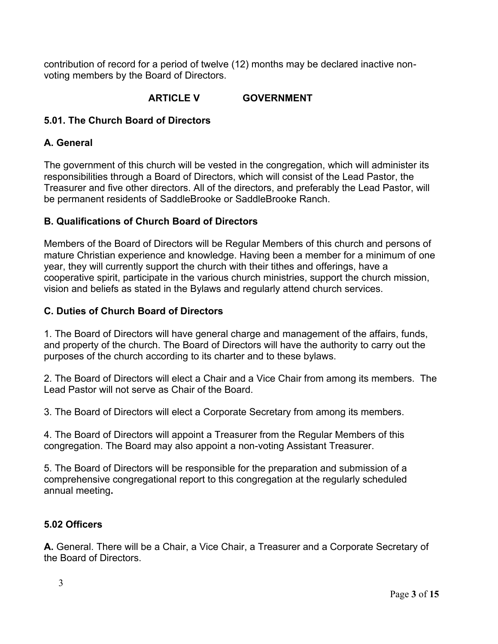contribution of record for a period of twelve (12) months may be declared inactive nonvoting members by the Board of Directors.

# **ARTICLE V GOVERNMENT**

### **5.01. The Church Board of Directors**

### **A. General**

The government of this church will be vested in the congregation, which will administer its responsibilities through a Board of Directors, which will consist of the Lead Pastor, the Treasurer and five other directors. All of the directors, and preferably the Lead Pastor, will be permanent residents of SaddleBrooke or SaddleBrooke Ranch.

### **B. Qualifications of Church Board of Directors**

Members of the Board of Directors will be Regular Members of this church and persons of mature Christian experience and knowledge. Having been a member for a minimum of one year, they will currently support the church with their tithes and offerings, have a cooperative spirit, participate in the various church ministries, support the church mission, vision and beliefs as stated in the Bylaws and regularly attend church services.

### **C. Duties of Church Board of Directors**

1. The Board of Directors will have general charge and management of the affairs, funds, and property of the church. The Board of Directors will have the authority to carry out the purposes of the church according to its charter and to these bylaws.

2. The Board of Directors will elect a Chair and a Vice Chair from among its members. The Lead Pastor will not serve as Chair of the Board.

3. The Board of Directors will elect a Corporate Secretary from among its members.

4. The Board of Directors will appoint a Treasurer from the Regular Members of this congregation. The Board may also appoint a non-voting Assistant Treasurer.

5. The Board of Directors will be responsible for the preparation and submission of a comprehensive congregational report to this congregation at the regularly scheduled annual meeting**.**

### **5.02 Officers**

**A.** General. There will be a Chair, a Vice Chair, a Treasurer and a Corporate Secretary of the Board of Directors.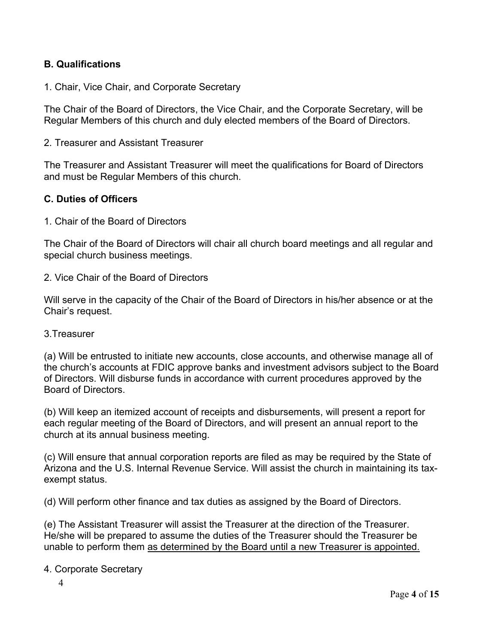### **B. Qualifications**

1. Chair, Vice Chair, and Corporate Secretary

The Chair of the Board of Directors, the Vice Chair, and the Corporate Secretary, will be Regular Members of this church and duly elected members of the Board of Directors.

2. Treasurer and Assistant Treasurer

The Treasurer and Assistant Treasurer will meet the qualifications for Board of Directors and must be Regular Members of this church.

### **C. Duties of Officers**

1. Chair of the Board of Directors

The Chair of the Board of Directors will chair all church board meetings and all regular and special church business meetings.

2. Vice Chair of the Board of Directors

Will serve in the capacity of the Chair of the Board of Directors in his/her absence or at the Chair's request.

#### 3.Treasurer

(a) Will be entrusted to initiate new accounts, close accounts, and otherwise manage all of the church's accounts at FDIC approve banks and investment advisors subject to the Board of Directors. Will disburse funds in accordance with current procedures approved by the Board of Directors.

(b) Will keep an itemized account of receipts and disbursements, will present a report for each regular meeting of the Board of Directors, and will present an annual report to the church at its annual business meeting.

(c) Will ensure that annual corporation reports are filed as may be required by the State of Arizona and the U.S. Internal Revenue Service. Will assist the church in maintaining its taxexempt status.

(d) Will perform other finance and tax duties as assigned by the Board of Directors.

(e) The Assistant Treasurer will assist the Treasurer at the direction of the Treasurer. He/she will be prepared to assume the duties of the Treasurer should the Treasurer be unable to perform them as determined by the Board until a new Treasurer is appointed.

#### 4. Corporate Secretary

4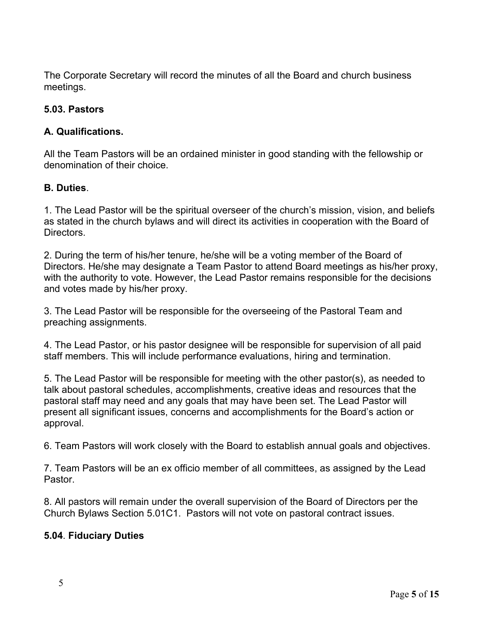The Corporate Secretary will record the minutes of all the Board and church business meetings.

# **5.03. Pastors**

### **A. Qualifications.**

All the Team Pastors will be an ordained minister in good standing with the fellowship or denomination of their choice.

### **B. Duties**.

1. The Lead Pastor will be the spiritual overseer of the church's mission, vision, and beliefs as stated in the church bylaws and will direct its activities in cooperation with the Board of Directors.

2. During the term of his/her tenure, he/she will be a voting member of the Board of Directors. He/she may designate a Team Pastor to attend Board meetings as his/her proxy, with the authority to vote. However, the Lead Pastor remains responsible for the decisions and votes made by his/her proxy.

3. The Lead Pastor will be responsible for the overseeing of the Pastoral Team and preaching assignments.

4. The Lead Pastor, or his pastor designee will be responsible for supervision of all paid staff members. This will include performance evaluations, hiring and termination.

5. The Lead Pastor will be responsible for meeting with the other pastor(s), as needed to talk about pastoral schedules, accomplishments, creative ideas and resources that the pastoral staff may need and any goals that may have been set. The Lead Pastor will present all significant issues, concerns and accomplishments for the Board's action or approval.

6. Team Pastors will work closely with the Board to establish annual goals and objectives.

7. Team Pastors will be an ex officio member of all committees, as assigned by the Lead Pastor.

8. All pastors will remain under the overall supervision of the Board of Directors per the Church Bylaws Section 5.01C1. Pastors will not vote on pastoral contract issues.

# **5.04**. **Fiduciary Duties**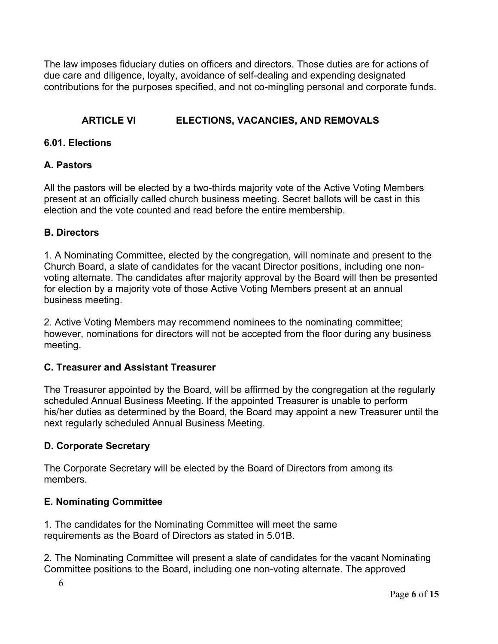The law imposes fiduciary duties on officers and directors. Those duties are for actions of due care and diligence, loyalty, avoidance of self-dealing and expending designated contributions for the purposes specified, and not co-mingling personal and corporate funds.

# **ARTICLE VI ELECTIONS, VACANCIES, AND REMOVALS**

### **6.01. Elections**

### **A. Pastors**

All the pastors will be elected by a two-thirds majority vote of the Active Voting Members present at an officially called church business meeting. Secret ballots will be cast in this election and the vote counted and read before the entire membership.

### **B. Directors**

1. A Nominating Committee, elected by the congregation, will nominate and present to the Church Board, a slate of candidates for the vacant Director positions, including one nonvoting alternate. The candidates after majority approval by the Board will then be presented for election by a majority vote of those Active Voting Members present at an annual business meeting.

2. Active Voting Members may recommend nominees to the nominating committee; however, nominations for directors will not be accepted from the floor during any business meeting.

### **C. Treasurer and Assistant Treasurer**

The Treasurer appointed by the Board, will be affirmed by the congregation at the regularly scheduled Annual Business Meeting. If the appointed Treasurer is unable to perform his/her duties as determined by the Board, the Board may appoint a new Treasurer until the next regularly scheduled Annual Business Meeting.

# **D. Corporate Secretary**

The Corporate Secretary will be elected by the Board of Directors from among its members.

# **E. Nominating Committee**

1. The candidates for the Nominating Committee will meet the same requirements as the Board of Directors as stated in 5.01B.

2. The Nominating Committee will present a slate of candidates for the vacant Nominating Committee positions to the Board, including one non-voting alternate. The approved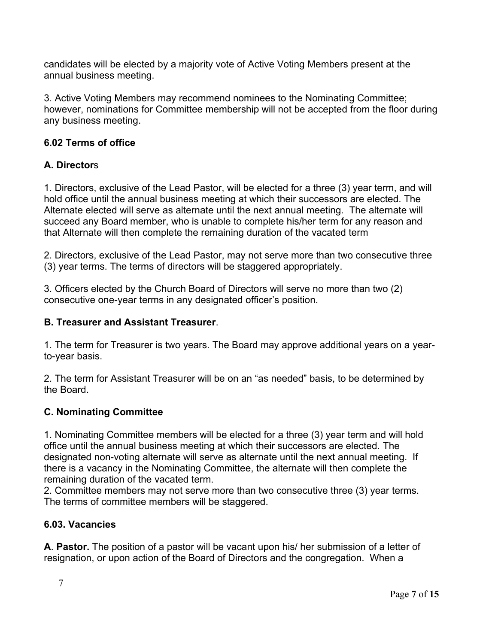candidates will be elected by a majority vote of Active Voting Members present at the annual business meeting.

3. Active Voting Members may recommend nominees to the Nominating Committee; however, nominations for Committee membership will not be accepted from the floor during any business meeting.

# **6.02 Terms of office**

# **A. Director**s

1. Directors, exclusive of the Lead Pastor, will be elected for a three (3) year term, and will hold office until the annual business meeting at which their successors are elected. The Alternate elected will serve as alternate until the next annual meeting. The alternate will succeed any Board member, who is unable to complete his/her term for any reason and that Alternate will then complete the remaining duration of the vacated term

2. Directors, exclusive of the Lead Pastor, may not serve more than two consecutive three (3) year terms. The terms of directors will be staggered appropriately.

3. Officers elected by the Church Board of Directors will serve no more than two (2) consecutive one-year terms in any designated officer's position.

### **B. Treasurer and Assistant Treasurer**.

1. The term for Treasurer is two years. The Board may approve additional years on a yearto-year basis.

2. The term for Assistant Treasurer will be on an "as needed" basis, to be determined by the Board.

# **C. Nominating Committee**

1. Nominating Committee members will be elected for a three (3) year term and will hold office until the annual business meeting at which their successors are elected. The designated non-voting alternate will serve as alternate until the next annual meeting. If there is a vacancy in the Nominating Committee, the alternate will then complete the remaining duration of the vacated term.

2. Committee members may not serve more than two consecutive three (3) year terms. The terms of committee members will be staggered.

# **6.03. Vacancies**

**A**. **Pastor.** The position of a pastor will be vacant upon his/ her submission of a letter of resignation, or upon action of the Board of Directors and the congregation. When a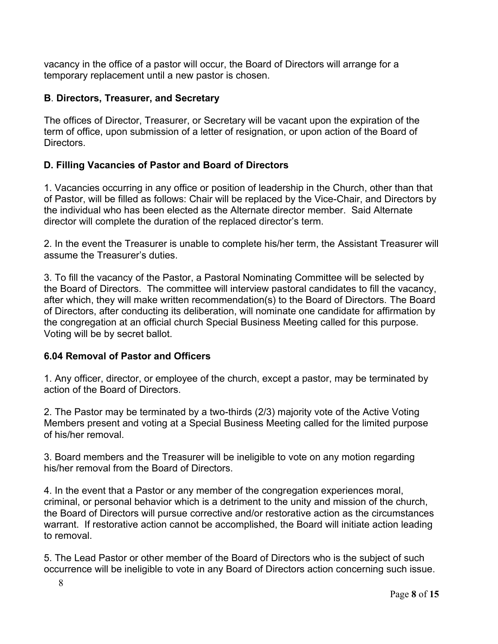vacancy in the office of a pastor will occur, the Board of Directors will arrange for a temporary replacement until a new pastor is chosen.

### **B**. **Directors, Treasurer, and Secretary**

The offices of Director, Treasurer, or Secretary will be vacant upon the expiration of the term of office, upon submission of a letter of resignation, or upon action of the Board of Directors.

### **D. Filling Vacancies of Pastor and Board of Directors**

1. Vacancies occurring in any office or position of leadership in the Church, other than that of Pastor, will be filled as follows: Chair will be replaced by the Vice-Chair, and Directors by the individual who has been elected as the Alternate director member. Said Alternate director will complete the duration of the replaced director's term.

2. In the event the Treasurer is unable to complete his/her term, the Assistant Treasurer will assume the Treasurer's duties.

3. To fill the vacancy of the Pastor, a Pastoral Nominating Committee will be selected by the Board of Directors. The committee will interview pastoral candidates to fill the vacancy, after which, they will make written recommendation(s) to the Board of Directors. The Board of Directors, after conducting its deliberation, will nominate one candidate for affirmation by the congregation at an official church Special Business Meeting called for this purpose. Voting will be by secret ballot.

### **6.04 Removal of Pastor and Officers**

1. Any officer, director, or employee of the church, except a pastor, may be terminated by action of the Board of Directors.

2. The Pastor may be terminated by a two-thirds (2/3) majority vote of the Active Voting Members present and voting at a Special Business Meeting called for the limited purpose of his/her removal.

3. Board members and the Treasurer will be ineligible to vote on any motion regarding his/her removal from the Board of Directors.

4. In the event that a Pastor or any member of the congregation experiences moral, criminal, or personal behavior which is a detriment to the unity and mission of the church, the Board of Directors will pursue corrective and/or restorative action as the circumstances warrant. If restorative action cannot be accomplished, the Board will initiate action leading to removal.

5. The Lead Pastor or other member of the Board of Directors who is the subject of such occurrence will be ineligible to vote in any Board of Directors action concerning such issue.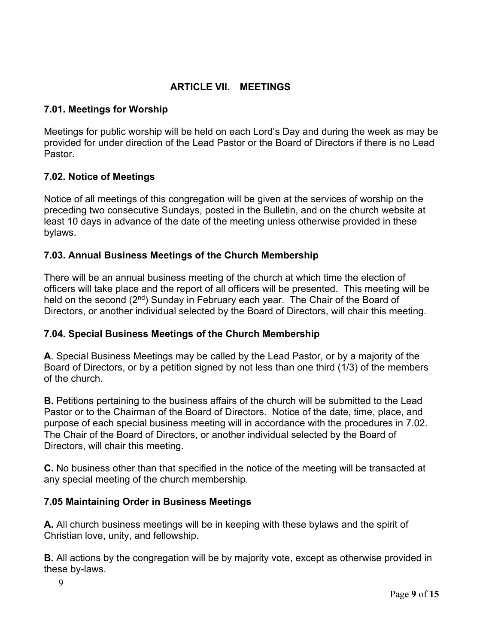### **ARTICLE VII. MEETINGS**

### **7.01. Meetings for Worship**

Meetings for public worship will be held on each Lord's Day and during the week as may be provided for under direction of the Lead Pastor or the Board of Directors if there is no Lead Pastor.

### **7.02. Notice of Meetings**

Notice of all meetings of this congregation will be given at the services of worship on the preceding two consecutive Sundays, posted in the Bulletin, and on the church website at least 10 days in advance of the date of the meeting unless otherwise provided in these bylaws.

### **7.03. Annual Business Meetings of the Church Membership**

There will be an annual business meeting of the church at which time the election of officers will take place and the report of all officers will be presented. This meeting will be held on the second (2<sup>nd</sup>) Sunday in February each year. The Chair of the Board of Directors, or another individual selected by the Board of Directors, will chair this meeting.

### **7.04. Special Business Meetings of the Church Membership**

**A**. Special Business Meetings may be called by the Lead Pastor, or by a majority of the Board of Directors, or by a petition signed by not less than one third (1/3) of the members of the church.

**B.** Petitions pertaining to the business affairs of the church will be submitted to the Lead Pastor or to the Chairman of the Board of Directors. Notice of the date, time, place, and purpose of each special business meeting will in accordance with the procedures in 7.02. The Chair of the Board of Directors, or another individual selected by the Board of Directors, will chair this meeting.

**C.** No business other than that specified in the notice of the meeting will be transacted at any special meeting of the church membership.

# **7.05 Maintaining Order in Business Meetings**

**A.** All church business meetings will be in keeping with these bylaws and the spirit of Christian love, unity, and fellowship.

**B.** All actions by the congregation will be by majority vote, except as otherwise provided in these by-laws.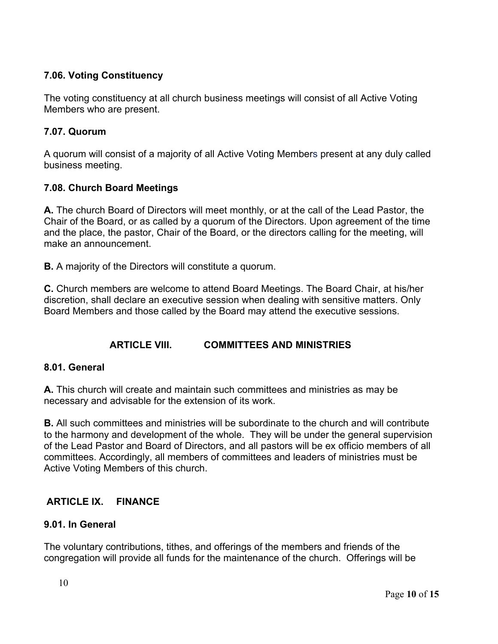# **7.06. Voting Constituency**

The voting constituency at all church business meetings will consist of all Active Voting Members who are present.

### **7.07. Quorum**

A quorum will consist of a majority of all Active Voting Members present at any duly called business meeting.

# **7.08. Church Board Meetings**

**A.** The church Board of Directors will meet monthly, or at the call of the Lead Pastor, the Chair of the Board, or as called by a quorum of the Directors. Upon agreement of the time and the place, the pastor, Chair of the Board, or the directors calling for the meeting, will make an announcement.

**B.** A majority of the Directors will constitute a quorum.

**C.** Church members are welcome to attend Board Meetings. The Board Chair, at his/her discretion, shall declare an executive session when dealing with sensitive matters. Only Board Members and those called by the Board may attend the executive sessions.

# **ARTICLE VIII. COMMITTEES AND MINISTRIES**

### **8.01. General**

**A.** This church will create and maintain such committees and ministries as may be necessary and advisable for the extension of its work.

**B.** All such committees and ministries will be subordinate to the church and will contribute to the harmony and development of the whole. They will be under the general supervision of the Lead Pastor and Board of Directors, and all pastors will be ex officio members of all committees. Accordingly, all members of committees and leaders of ministries must be Active Voting Members of this church.

# **ARTICLE IX. FINANCE**

# **9.01. In General**

The voluntary contributions, tithes, and offerings of the members and friends of the congregation will provide all funds for the maintenance of the church. Offerings will be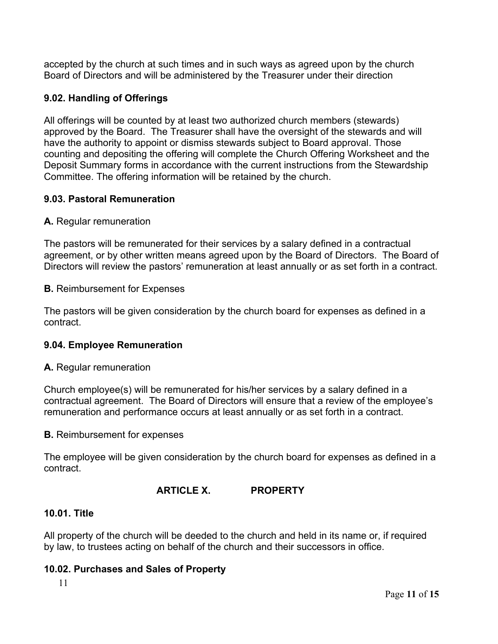accepted by the church at such times and in such ways as agreed upon by the church Board of Directors and will be administered by the Treasurer under their direction

### **9.02. Handling of Offerings**

All offerings will be counted by at least two authorized church members (stewards) approved by the Board. The Treasurer shall have the oversight of the stewards and will have the authority to appoint or dismiss stewards subject to Board approval. Those counting and depositing the offering will complete the Church Offering Worksheet and the Deposit Summary forms in accordance with the current instructions from the Stewardship Committee. The offering information will be retained by the church.

### **9.03. Pastoral Remuneration**

#### **A.** Regular remuneration

The pastors will be remunerated for their services by a salary defined in a contractual agreement, or by other written means agreed upon by the Board of Directors. The Board of Directors will review the pastors' remuneration at least annually or as set forth in a contract.

#### **B.** Reimbursement for Expenses

The pastors will be given consideration by the church board for expenses as defined in a contract.

### **9.04. Employee Remuneration**

#### **A.** Regular remuneration

Church employee(s) will be remunerated for his/her services by a salary defined in a contractual agreement. The Board of Directors will ensure that a review of the employee's remuneration and performance occurs at least annually or as set forth in a contract.

#### **B.** Reimbursement for expenses

The employee will be given consideration by the church board for expenses as defined in a contract.

### **ARTICLE X. PROPERTY**

### **10.01. Title**

All property of the church will be deeded to the church and held in its name or, if required by law, to trustees acting on behalf of the church and their successors in office.

### **10.02. Purchases and Sales of Property**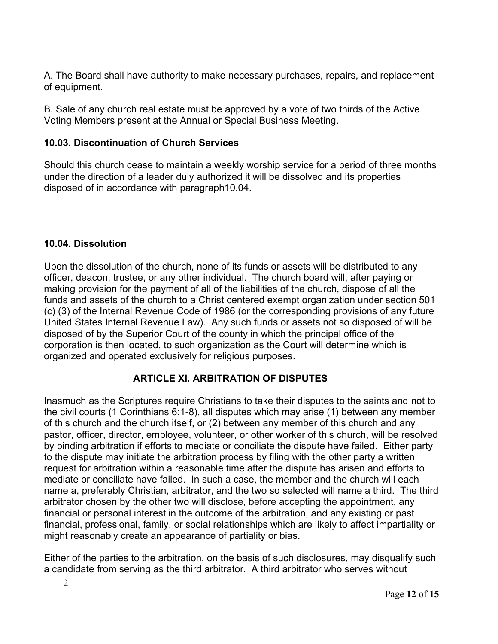A. The Board shall have authority to make necessary purchases, repairs, and replacement of equipment.

B. Sale of any church real estate must be approved by a vote of two thirds of the Active Voting Members present at the Annual or Special Business Meeting.

# **10.03. Discontinuation of Church Services**

Should this church cease to maintain a weekly worship service for a period of three months under the direction of a leader duly authorized it will be dissolved and its properties disposed of in accordance with paragraph10.04.

# **10.04. Dissolution**

Upon the dissolution of the church, none of its funds or assets will be distributed to any officer, deacon, trustee, or any other individual. The church board will, after paying or making provision for the payment of all of the liabilities of the church, dispose of all the funds and assets of the church to a Christ centered exempt organization under section 501 (c) (3) of the Internal Revenue Code of 1986 (or the corresponding provisions of any future United States Internal Revenue Law). Any such funds or assets not so disposed of will be disposed of by the Superior Court of the county in which the principal office of the corporation is then located, to such organization as the Court will determine which is organized and operated exclusively for religious purposes.

# **ARTICLE XI. ARBITRATION OF DISPUTES**

Inasmuch as the Scriptures require Christians to take their disputes to the saints and not to the civil courts (1 Corinthians 6:1-8), all disputes which may arise (1) between any member of this church and the church itself, or (2) between any member of this church and any pastor, officer, director, employee, volunteer, or other worker of this church, will be resolved by binding arbitration if efforts to mediate or conciliate the dispute have failed. Either party to the dispute may initiate the arbitration process by filing with the other party a written request for arbitration within a reasonable time after the dispute has arisen and efforts to mediate or conciliate have failed. In such a case, the member and the church will each name a, preferably Christian, arbitrator, and the two so selected will name a third. The third arbitrator chosen by the other two will disclose, before accepting the appointment, any financial or personal interest in the outcome of the arbitration, and any existing or past financial, professional, family, or social relationships which are likely to affect impartiality or might reasonably create an appearance of partiality or bias.

Either of the parties to the arbitration, on the basis of such disclosures, may disqualify such a candidate from serving as the third arbitrator. A third arbitrator who serves without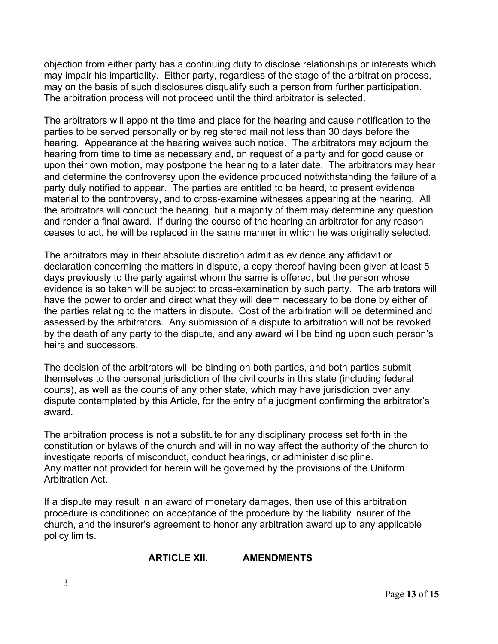objection from either party has a continuing duty to disclose relationships or interests which may impair his impartiality. Either party, regardless of the stage of the arbitration process, may on the basis of such disclosures disqualify such a person from further participation. The arbitration process will not proceed until the third arbitrator is selected.

The arbitrators will appoint the time and place for the hearing and cause notification to the parties to be served personally or by registered mail not less than 30 days before the hearing. Appearance at the hearing waives such notice. The arbitrators may adjourn the hearing from time to time as necessary and, on request of a party and for good cause or upon their own motion, may postpone the hearing to a later date. The arbitrators may hear and determine the controversy upon the evidence produced notwithstanding the failure of a party duly notified to appear. The parties are entitled to be heard, to present evidence material to the controversy, and to cross-examine witnesses appearing at the hearing. All the arbitrators will conduct the hearing, but a majority of them may determine any question and render a final award. If during the course of the hearing an arbitrator for any reason ceases to act, he will be replaced in the same manner in which he was originally selected.

The arbitrators may in their absolute discretion admit as evidence any affidavit or declaration concerning the matters in dispute, a copy thereof having been given at least 5 days previously to the party against whom the same is offered, but the person whose evidence is so taken will be subject to cross-examination by such party. The arbitrators will have the power to order and direct what they will deem necessary to be done by either of the parties relating to the matters in dispute. Cost of the arbitration will be determined and assessed by the arbitrators. Any submission of a dispute to arbitration will not be revoked by the death of any party to the dispute, and any award will be binding upon such person's heirs and successors.

The decision of the arbitrators will be binding on both parties, and both parties submit themselves to the personal jurisdiction of the civil courts in this state (including federal courts), as well as the courts of any other state, which may have jurisdiction over any dispute contemplated by this Article, for the entry of a judgment confirming the arbitrator's award.

The arbitration process is not a substitute for any disciplinary process set forth in the constitution or bylaws of the church and will in no way affect the authority of the church to investigate reports of misconduct, conduct hearings, or administer discipline. Any matter not provided for herein will be governed by the provisions of the Uniform Arbitration Act.

If a dispute may result in an award of monetary damages, then use of this arbitration procedure is conditioned on acceptance of the procedure by the liability insurer of the church, and the insurer's agreement to honor any arbitration award up to any applicable policy limits.

# **ARTICLE XII. AMENDMENTS**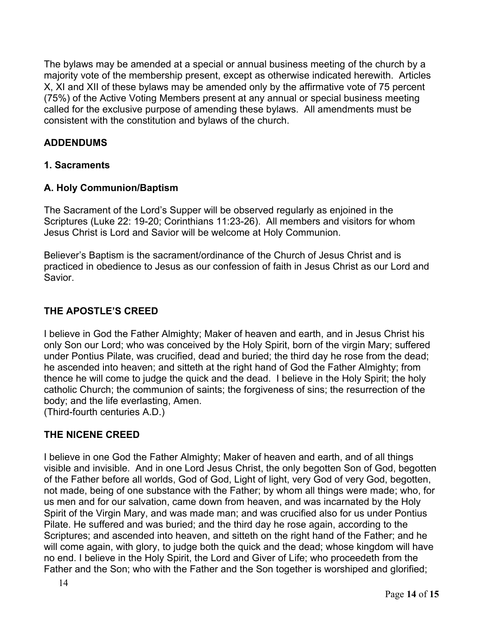The bylaws may be amended at a special or annual business meeting of the church by a majority vote of the membership present, except as otherwise indicated herewith. Articles X, XI and XII of these bylaws may be amended only by the affirmative vote of 75 percent (75%) of the Active Voting Members present at any annual or special business meeting called for the exclusive purpose of amending these bylaws. All amendments must be consistent with the constitution and bylaws of the church.

# **ADDENDUMS**

### **1. Sacraments**

### **A. Holy Communion/Baptism**

The Sacrament of the Lord's Supper will be observed regularly as enjoined in the Scriptures (Luke 22: 19-20; Corinthians 11:23-26). All members and visitors for whom Jesus Christ is Lord and Savior will be welcome at Holy Communion.

Believer's Baptism is the sacrament/ordinance of the Church of Jesus Christ and is practiced in obedience to Jesus as our confession of faith in Jesus Christ as our Lord and Savior.

### **THE APOSTLE'S CREED**

I believe in God the Father Almighty; Maker of heaven and earth, and in Jesus Christ his only Son our Lord; who was conceived by the Holy Spirit, born of the virgin Mary; suffered under Pontius Pilate, was crucified, dead and buried; the third day he rose from the dead; he ascended into heaven; and sitteth at the right hand of God the Father Almighty; from thence he will come to judge the quick and the dead. I believe in the Holy Spirit; the holy catholic Church; the communion of saints; the forgiveness of sins; the resurrection of the body; and the life everlasting, Amen.

(Third-fourth centuries A.D.)

# **THE NICENE CREED**

I believe in one God the Father Almighty; Maker of heaven and earth, and of all things visible and invisible. And in one Lord Jesus Christ, the only begotten Son of God, begotten of the Father before all worlds, God of God, Light of light, very God of very God, begotten, not made, being of one substance with the Father; by whom all things were made; who, for us men and for our salvation, came down from heaven, and was incarnated by the Holy Spirit of the Virgin Mary, and was made man; and was crucified also for us under Pontius Pilate. He suffered and was buried; and the third day he rose again, according to the Scriptures; and ascended into heaven, and sitteth on the right hand of the Father; and he will come again, with glory, to judge both the quick and the dead; whose kingdom will have no end. I believe in the Holy Spirit, the Lord and Giver of Life; who proceedeth from the Father and the Son; who with the Father and the Son together is worshiped and glorified;